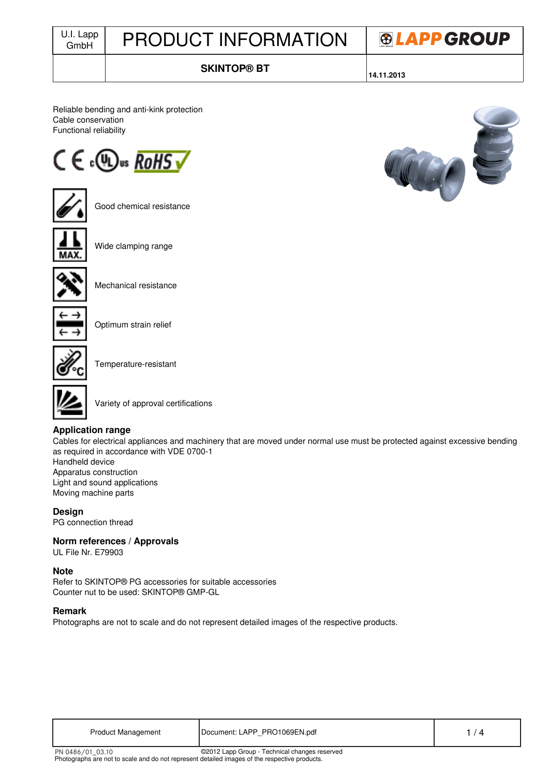| U.I. Lapp<br>GmbH | <b>PRODUCT INFORMATION</b> | <b>®LAPPGROUP</b> |
|-------------------|----------------------------|-------------------|
|                   | SKINTOP® RT                |                   |

**SKINTOP® BT**

**14.11.2013**

Reliable bending and anti-kink protection Cable conservation Functional reliability





Good chemical resistance



Wide clamping range



Mechanical resistance



Optimum strain relief



Temperature-resistant



Variety of approval certifications

### **Application range**

Cables for electrical appliances and machinery that are moved under normal use must be protected against excessive bending as required in accordance with VDE 0700-1 Handheld device

Apparatus construction Light and sound applications Moving machine parts

**Design** PG connection thread

## **Norm references / Approvals**

UL File Nr. E79903

### **Note**

Refer to SKINTOP® PG accessories for suitable accessories Counter nut to be used: SKINTOP® GMP-GL

Photographs are not to scale and do not represent detailed images of the respective products.

### **Remark**

Photographs are not to scale and do not represent detailed images of the respective products.

| <b>Product Management</b> | Document: LAPP PRO1069EN.pdf                  |  |
|---------------------------|-----------------------------------------------|--|
| PN 0486/01_03.10          | ©2012 Lapp Group - Technical changes reserved |  |

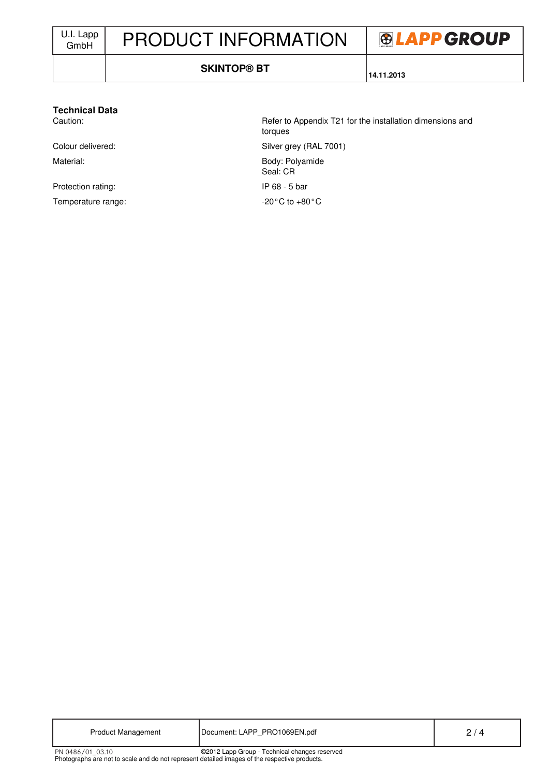# PRODUCT INFORMATION



#### **SKINTOP® BT**

**14.11.2013**

#### **Technical Data**

Material: Body: Polyamide

Protection rating: IP 68 - 5 bar Temperature range:  $-20^{\circ}$ C to +80°C

Caution: Caution: Refer to Appendix T21 for the installation dimensions and torques Colour delivered: Silver grey (RAL 7001) Seal: CR

| <b>Product Management</b> | Document: LAPP PRO1069EN.pdf                  |  |
|---------------------------|-----------------------------------------------|--|
| PN 0486/01 03.10          | ©2012 Lapp Group - Technical changes reserved |  |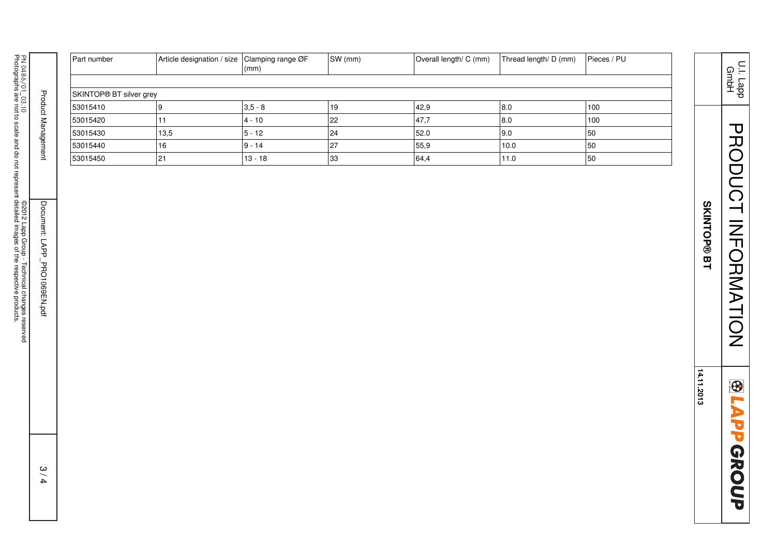| PN 0486/01_03.10                              |                              | Part number             | Article designation / size Clamping range ØF | $\vert$ (mm) | SW (mm) | Overall length/ C (mm) | Thread length/ D (mm) | Pieces / PU |
|-----------------------------------------------|------------------------------|-------------------------|----------------------------------------------|--------------|---------|------------------------|-----------------------|-------------|
|                                               |                              |                         |                                              |              |         |                        |                       |             |
|                                               |                              | SKINTOP® BT silver grey |                                              |              |         |                        |                       |             |
|                                               |                              | 53015410                | 9                                            | $3,5 - 8$    | 19      | 42,9                   | $8.0\,$               | 100         |
|                                               | Product Management           | 53015420                | 11                                           | $4 - 10$     | 22      | 47,7                   | 8.0                   | 100         |
|                                               |                              | 53015430                | 13,5                                         | $5 - 12$     | 24      | 52.0                   | 9.0                   | 50          |
|                                               |                              | 53015440                | 16                                           | $9 - 14$     | 27      | 55,9                   | 10.0                  | 50          |
|                                               |                              | 53015450                | 21                                           | $13 - 18$    | 33      | 64,4                   | 11.0                  | 50          |
| @2012 Lapp Group - Technical changes reserved | Document: LAPP_PRO1069EN.pdf |                         |                                              |              |         |                        |                       |             |
|                                               | 3/4                          |                         |                                              |              |         |                        |                       |             |

PRODUCT INFORMATION PRODUCT INFORMATION **SKINTOP® BT SKINTOP® BT**

U.I. Lapp GmbH

14.11.2013 **14.11.2013**

**BLAPPGROUP**